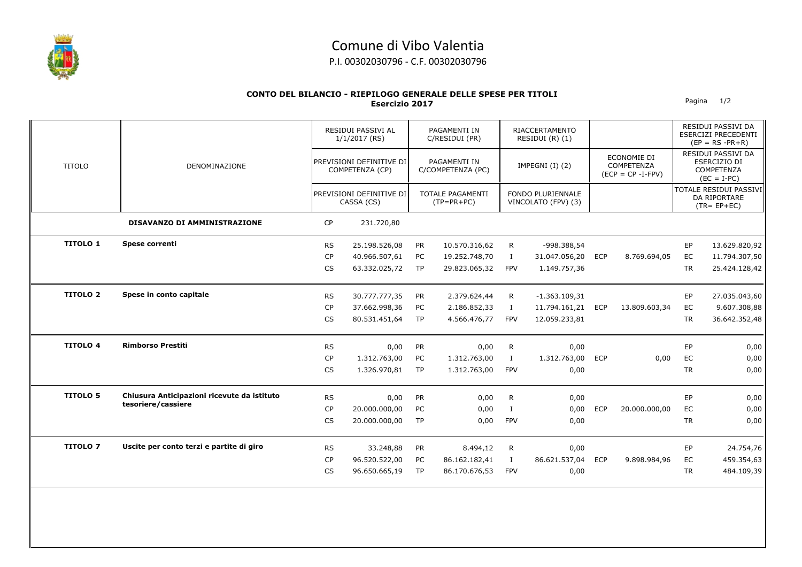

## Comune di Vibo Valentia

P.I. 00302030796 - C.F. 00302030796

## **CONTO DEL BILANCIO - RIEPILOGO GENERALE DELLE SPESE PER TITOLI Esercizio 2017** Pagina 1/2

|                 |                                             |           | RESIDUI PASSIVI AL<br>$1/1/2017$ (RS)<br>PREVISIONI DEFINITIVE DI<br>COMPETENZA (CP) |           | PAGAMENTI IN<br>C/RESIDUI (PR)<br>PAGAMENTI IN<br>C/COMPETENZA (PC) |              | <b>RIACCERTAMENTO</b><br>RESIDUI (R) (1)<br>IMPEGNI (I) (2) |            |                                                          |           | RESIDUI PASSIVI DA<br>ESERCIZI PRECEDENTI<br>$(EP = RS - PR + R)$ |  |
|-----------------|---------------------------------------------|-----------|--------------------------------------------------------------------------------------|-----------|---------------------------------------------------------------------|--------------|-------------------------------------------------------------|------------|----------------------------------------------------------|-----------|-------------------------------------------------------------------|--|
| <b>TITOLO</b>   | DENOMINAZIONE                               |           |                                                                                      |           |                                                                     |              |                                                             |            | ECONOMIE DI<br><b>COMPETENZA</b><br>$(ECP = CP - I-FPV)$ |           | RESIDUI PASSIVI DA<br>ESERCIZIO DI<br>COMPETENZA<br>$(EC = I-PC)$ |  |
|                 |                                             |           | PREVISIONI DEFINITIVE DI<br>CASSA (CS)                                               |           | <b>TOTALE PAGAMENTI</b><br>$(TP=PR+PC)$                             |              | FONDO PLURIENNALE<br>VINCOLATO (FPV) (3)                    |            |                                                          |           | TOTALE RESIDUI PASSIVI<br>DA RIPORTARE<br>$(TR = EP + EC)$        |  |
|                 | <b>DISAVANZO DI AMMINISTRAZIONE</b>         | <b>CP</b> | 231.720,80                                                                           |           |                                                                     |              |                                                             |            |                                                          |           |                                                                   |  |
| <b>TITOLO 1</b> | Spese correnti                              | <b>RS</b> | 25.198.526,08                                                                        | PR        | 10.570.316,62                                                       | R.           | -998.388,54                                                 |            |                                                          | EP        | 13.629.820,92                                                     |  |
|                 |                                             | <b>CP</b> | 40.966.507,61                                                                        | PC        | 19.252.748,70                                                       | Ι.           | 31.047.056,20                                               | <b>ECP</b> | 8.769.694,05                                             | EC        | 11.794.307,50                                                     |  |
|                 |                                             | <b>CS</b> | 63.332.025,72                                                                        | TP        | 29.823.065,32                                                       | <b>FPV</b>   | 1.149.757,36                                                |            |                                                          | <b>TR</b> | 25.424.128,42                                                     |  |
| <b>TITOLO 2</b> | Spese in conto capitale                     | <b>RS</b> | 30.777.777,35                                                                        | <b>PR</b> | 2.379.624,44                                                        | R            | $-1.363.109,31$                                             |            |                                                          | EP        | 27.035.043,60                                                     |  |
|                 |                                             | <b>CP</b> | 37.662.998,36                                                                        | PC        | 2.186.852,33                                                        | Ι.           | 11.794.161,21 ECP                                           |            | 13.809.603,34                                            | EC        | 9.607.308,88                                                      |  |
|                 |                                             | CS        | 80.531.451,64                                                                        | <b>TP</b> | 4.566.476,77                                                        | <b>FPV</b>   | 12.059.233,81                                               |            |                                                          | <b>TR</b> | 36.642.352,48                                                     |  |
| <b>TITOLO 4</b> | <b>Rimborso Prestiti</b>                    | <b>RS</b> | 0,00                                                                                 | PR        | 0,00                                                                | R            | 0,00                                                        |            |                                                          | EP        | 0,00                                                              |  |
|                 |                                             | <b>CP</b> | 1.312.763,00                                                                         | PC        | 1.312.763,00                                                        | $\mathbf{I}$ | 1.312.763,00                                                | <b>ECP</b> | 0,00                                                     | EC        | 0,00                                                              |  |
|                 |                                             | CS        | 1.326.970,81                                                                         | <b>TP</b> | 1.312.763,00                                                        | <b>FPV</b>   | 0,00                                                        |            |                                                          | <b>TR</b> | 0,00                                                              |  |
| <b>TITOLO 5</b> | Chiusura Anticipazioni ricevute da istituto | <b>RS</b> | 0,00                                                                                 | <b>PR</b> | 0,00                                                                | $\mathsf{R}$ | 0,00                                                        |            |                                                          | EP        | 0,00                                                              |  |
|                 | tesoriere/cassiere                          | <b>CP</b> | 20.000.000,00                                                                        | PC        | 0,00                                                                | $\mathbf{I}$ | 0,00                                                        | <b>ECP</b> | 20.000.000,00                                            | EC        | 0,00                                                              |  |
|                 |                                             | <b>CS</b> | 20.000.000,00                                                                        | <b>TP</b> | 0,00                                                                | <b>FPV</b>   | 0,00                                                        |            |                                                          | <b>TR</b> | 0,00                                                              |  |
| <b>TITOLO 7</b> | Uscite per conto terzi e partite di giro    | <b>RS</b> | 33.248,88                                                                            | <b>PR</b> | 8.494,12                                                            | R            | 0,00                                                        |            |                                                          | EP        | 24.754,76                                                         |  |
|                 |                                             | <b>CP</b> | 96.520.522,00                                                                        | PC        | 86.162.182,41                                                       | $\bf{I}$     | 86.621.537,04                                               | <b>ECP</b> | 9.898.984,96                                             | EC        | 459.354,63                                                        |  |
|                 |                                             | <b>CS</b> | 96.650.665,19                                                                        | <b>TP</b> | 86.170.676,53                                                       | <b>FPV</b>   | 0,00                                                        |            |                                                          | <b>TR</b> | 484.109,39                                                        |  |
|                 |                                             |           |                                                                                      |           |                                                                     |              |                                                             |            |                                                          |           |                                                                   |  |